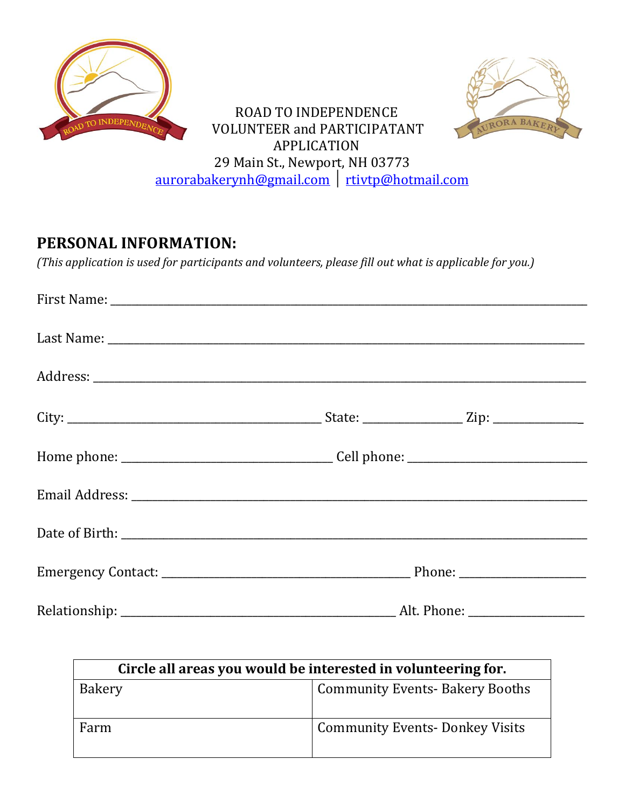



ROAD TO INDEPENDENCE VOLUNTEER and PARTICIPATANT APPLICATION 29 Main St., Newport, NH 03773 [aurorabakerynh@gmail.com](mailto:aurorabakerynh@gmail.com) │ [rtivtp@hotmail.com](mailto:rtivtp@hotmail.com)

## **PERSONAL INFORMATION:**

*(This application is used for participants and volunteers, please fill out what is applicable for you.)*

| Circle all areas you would be interested in volunteering for. |                                        |  |  |
|---------------------------------------------------------------|----------------------------------------|--|--|
| Bakery                                                        | <b>Community Events- Bakery Booths</b> |  |  |
| Farm                                                          | <b>Community Events-Donkey Visits</b>  |  |  |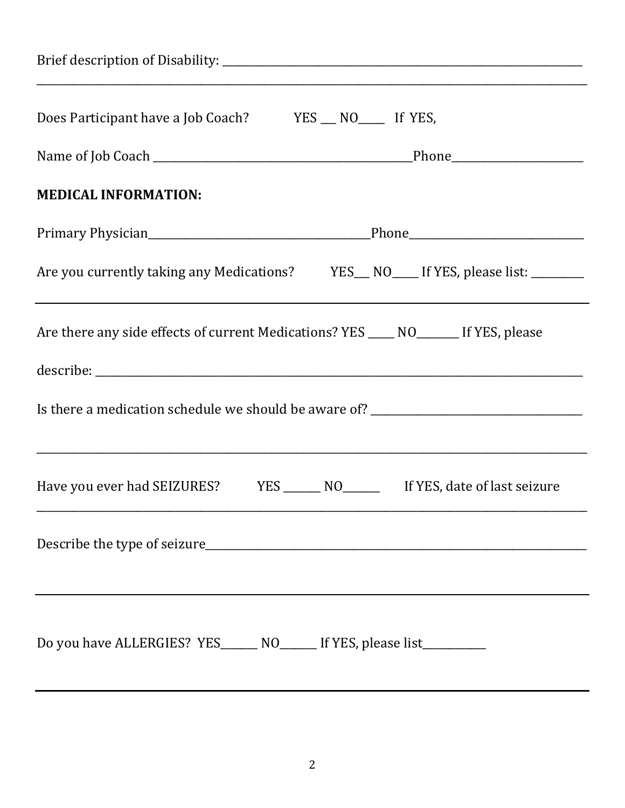| Does Participant have a Job Coach? YES __ NO ____ If YES,                           |  |  |  |  |
|-------------------------------------------------------------------------------------|--|--|--|--|
|                                                                                     |  |  |  |  |
| <b>MEDICAL INFORMATION:</b>                                                         |  |  |  |  |
|                                                                                     |  |  |  |  |
| Are you currently taking any Medications? YES_NO__If YES, please list: _______      |  |  |  |  |
| Are there any side effects of current Medications? YES ____ NO______ If YES, please |  |  |  |  |
|                                                                                     |  |  |  |  |
| Is there a medication schedule we should be aware of? __________________________    |  |  |  |  |
| Have you ever had SEIZURES? YES ______ NO________ If YES, date of last seizure      |  |  |  |  |
|                                                                                     |  |  |  |  |
|                                                                                     |  |  |  |  |
| Do you have ALLERGIES? YES______ NO______ If YES, please list__________             |  |  |  |  |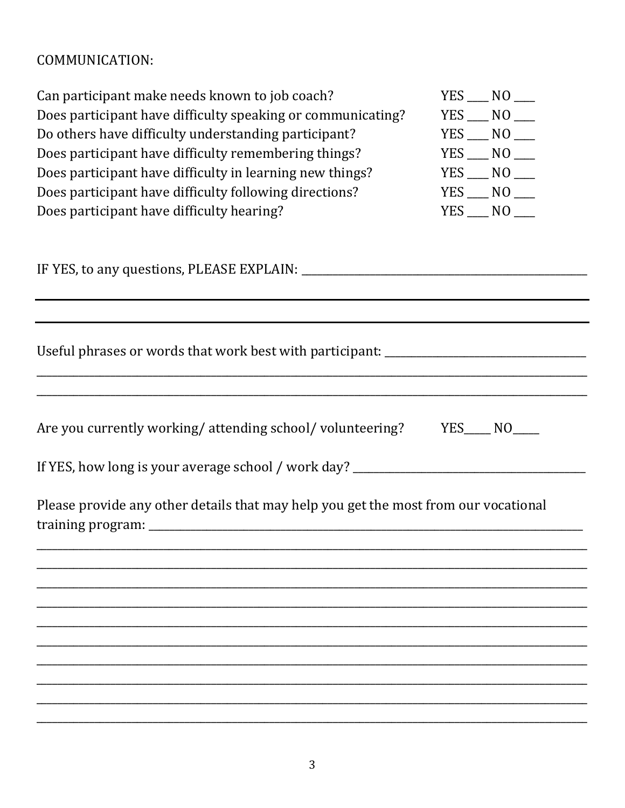# COMMUNICATION:

| Can participant make needs known to job coach?                                      | $YES$ $NO$ $\_\_$   |
|-------------------------------------------------------------------------------------|---------------------|
| Does participant have difficulty speaking or communicating?                         | $YES$ $NO$ $\_\_$   |
| Do others have difficulty understanding participant?                                | $YES$ $NO$ $\qquad$ |
| Does participant have difficulty remembering things?                                | $YES$ $NO$ $\_\_$   |
| Does participant have difficulty in learning new things?                            | $YES$ $NO$ $\qquad$ |
| Does participant have difficulty following directions?                              | $YES$ $NO$ $\_\_$   |
| Does participant have difficulty hearing?                                           | $YES$ $NO$ $\_\_$   |
|                                                                                     |                     |
| Useful phrases or words that work best with participant: ________________________   |                     |
|                                                                                     |                     |
| Are you currently working/attending school/volunteering? YES____ NO___              |                     |
| If YES, how long is your average school / work day? ____________________________    |                     |
| Please provide any other details that may help you get the most from our vocational |                     |
|                                                                                     |                     |
|                                                                                     |                     |
|                                                                                     |                     |
|                                                                                     |                     |
|                                                                                     |                     |
|                                                                                     |                     |
|                                                                                     |                     |
|                                                                                     |                     |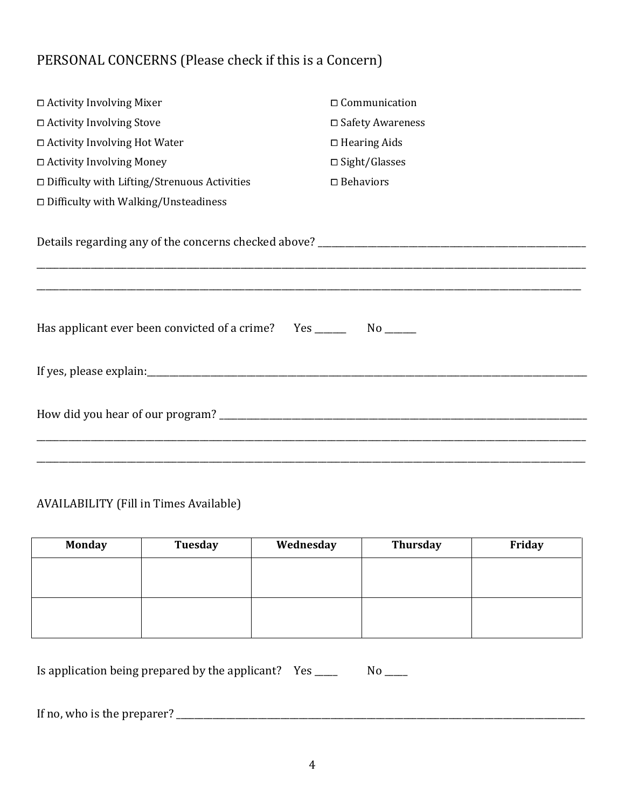### PERSONAL CONCERNS (Please check if this is a Concern)

| □ Activity Involving Mixer                                                        | $\Box$ Communication    |  |  |  |  |
|-----------------------------------------------------------------------------------|-------------------------|--|--|--|--|
| □ Activity Involving Stove                                                        | □ Safety Awareness      |  |  |  |  |
| □ Activity Involving Hot Water                                                    | $\Box$ Hearing Aids     |  |  |  |  |
| $\Box$ Activity Involving Money                                                   | $\square$ Sight/Glasses |  |  |  |  |
| $\square$ Difficulty with Lifting/Strenuous Activities                            | $\square$ Behaviors     |  |  |  |  |
| □ Difficulty with Walking/Unsteadiness                                            |                         |  |  |  |  |
|                                                                                   |                         |  |  |  |  |
| Has applicant ever been convicted of a crime? Yes _______________________________ |                         |  |  |  |  |
|                                                                                   |                         |  |  |  |  |
|                                                                                   |                         |  |  |  |  |

#### AVAILABILITY (Fill in Times Available)

| <b>Monday</b> | <b>Tuesday</b> | Wednesday | <b>Thursday</b> | Friday |
|---------------|----------------|-----------|-----------------|--------|
|               |                |           |                 |        |
|               |                |           |                 |        |
|               |                |           |                 |        |
|               |                |           |                 |        |

Is application being prepared by the applicant? Yes \_\_\_\_\_ No \_\_\_\_

If no, who is the preparer? \_\_\_\_\_\_\_\_\_\_\_\_\_\_\_\_\_\_\_\_\_\_\_\_\_\_\_\_\_\_\_\_\_\_\_\_\_\_\_\_\_\_\_\_\_\_\_\_\_\_\_\_\_\_\_\_\_\_\_\_\_\_\_\_\_\_\_\_\_\_\_\_\_\_\_\_\_\_\_\_\_\_\_\_\_\_\_\_\_\_